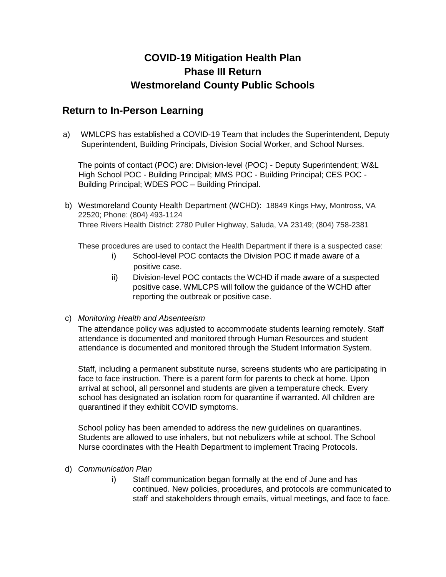### **COVID-19 Mitigation Health Plan Phase III Return Westmoreland County Public Schools**

### **Return to In-Person Learning**

a) WMLCPS has established a COVID-19 Team that includes the Superintendent, Deputy Superintendent, Building Principals, Division Social Worker, and School Nurses.

The points of contact (POC) are: Division-level (POC) - Deputy Superintendent; W&L High School POC - Building Principal; MMS POC - Building Principal; CES POC - Building Principal; WDES POC – Building Principal.

b) Westmoreland County Health Department (WCHD): 18849 Kings Hwy, Montross, VA 22520; Phone: (804) 493-1124 Three Rivers Health District: 2780 Puller Highway, Saluda, VA 23149; (804) 758-2381

These procedures are used to contact the Health Department if there is a suspected case:

- i) School-level POC contacts the Division POC if made aware of a positive case.
- ii) Division-level POC contacts the WCHD if made aware of a suspected positive case. WMLCPS will follow the guidance of the WCHD after reporting the outbreak or positive case.

### c) *Monitoring Health and Absenteeism*

The attendance policy was adjusted to accommodate students learning remotely. Staff attendance is documented and monitored through Human Resources and student attendance is documented and monitored through the Student Information System.

Staff, including a permanent substitute nurse, screens students who are participating in face to face instruction. There is a parent form for parents to check at home. Upon arrival at school, all personnel and students are given a temperature check. Every school has designated an isolation room for quarantine if warranted. All children are quarantined if they exhibit COVID symptoms.

School policy has been amended to address the new quidelines on quarantines. Students are allowed to use inhalers, but not nebulizers while at school. The School Nurse coordinates with the Health Department to implement Tracing Protocols.

### d) *Communication Plan*

i) Staff communication began formally at the end of June and has continued. New policies, procedures, and protocols are communicated to staff and stakeholders through emails, virtual meetings, and face to face.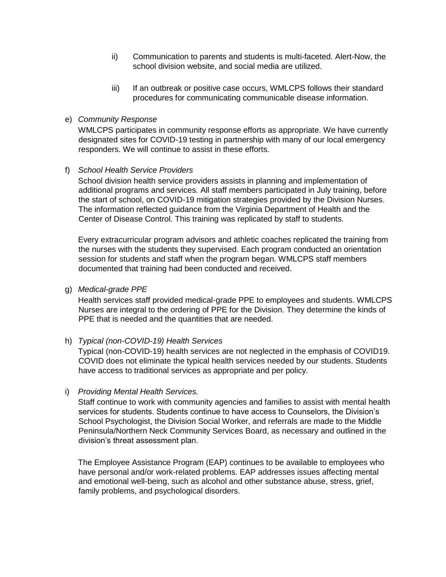- ii) Communication to parents and students is multi-faceted. Alert-Now, the school division website, and social media are utilized.
- iii) If an outbreak or positive case occurs, WMLCPS follows their standard procedures for communicating communicable disease information.

### e) *Community Response*

WMLCPS participates in community response efforts as appropriate. We have currently designated sites for COVID-19 testing in partnership with many of our local emergency responders. We will continue to assist in these efforts.

### f) *School Health Service Providers*

School division health service providers assists in planning and implementation of additional programs and services. All staff members participated in July training, before the start of school, on COVID-19 mitigation strategies provided by the Division Nurses. The information reflected guidance from the Virginia Department of Health and the Center of Disease Control. This training was replicated by staff to students.

Every extracurricular program advisors and athletic coaches replicated the training from the nurses with the students they supervised. Each program conducted an orientation session for students and staff when the program began. WMLCPS staff members documented that training had been conducted and received.

g) *Medical-grade PPE* 

Health services staff provided medical-grade PPE to employees and students. WMLCPS Nurses are integral to the ordering of PPE for the Division. They determine the kinds of PPE that is needed and the quantities that are needed.

### h) *Typical (non-COVID-19) Health Services*

Typical (non-COVID-19) health services are not neglected in the emphasis of COVID19. COVID does not eliminate the typical health services needed by our students. Students have access to traditional services as appropriate and per policy.

### i) *Providing Mental Health Services.*

Staff continue to work with community agencies and families to assist with mental health services for students. Students continue to have access to Counselors, the Division's School Psychologist, the Division Social Worker, and referrals are made to the Middle Peninsula/Northern Neck Community Services Board, as necessary and outlined in the division's threat assessment plan.

The Employee Assistance Program (EAP) continues to be available to employees who have personal and/or work-related problems. EAP addresses issues affecting mental and emotional well-being, such as alcohol and other substance abuse, stress, grief, family problems, and psychological disorders.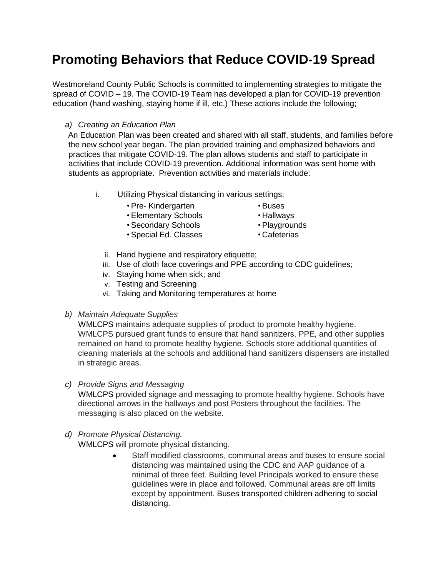## **Promoting Behaviors that Reduce COVID-19 Spread**

Westmoreland County Public Schools is committed to implementing strategies to mitigate the spread of COVID – 19. The COVID-19 Team has developed a plan for COVID-19 prevention education (hand washing, staying home if ill, etc.) These actions include the following;

### *a) Creating an Education Plan*

An Education Plan was been created and shared with all staff, students, and families before the new school year began. The plan provided training and emphasized behaviors and practices that mitigate COVID-19. The plan allows students and staff to participate in activities that include COVID-19 prevention. Additional information was sent home with students as appropriate. Prevention activities and materials include:

- i. Utilizing Physical distancing in various settings;
	- Pre- Kindergarten
	- Elementary Schools
- Buses • Hallways
- Playgrounds
- Secondary Schools • Special Ed. Classes
- Cafeterias
	-
- ii. Hand hygiene and respiratory etiquette;
- iii. Use of cloth face coverings and PPE according to CDC guidelines;
- iv. Staying home when sick; and
- v. Testing and Screening
- vi. Taking and Monitoring temperatures at home
- *b) Maintain Adequate Supplies*

WMLCPS maintains adequate supplies of product to promote healthy hygiene. WMLCPS pursued grant funds to ensure that hand sanitizers, PPE, and other supplies remained on hand to promote healthy hygiene. Schools store additional quantities of cleaning materials at the schools and additional hand sanitizers dispensers are installed in strategic areas.

*c) Provide Signs and Messaging* 

WMLCPS provided signage and messaging to promote healthy hygiene. Schools have directional arrows in the hallways and post Posters throughout the facilities. The messaging is also placed on the website.

*d) Promote Physical Distancing.* 

WMLCPS will promote physical distancing.

 Staff modified classrooms, communal areas and buses to ensure social distancing was maintained using the CDC and AAP guidance of a minimal of three feet. Building level Principals worked to ensure these guidelines were in place and followed. Communal areas are off limits except by appointment. Buses transported children adhering to social distancing.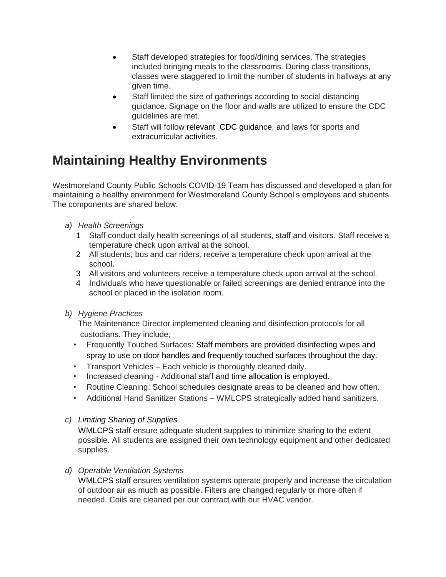- Staff developed strategies for food/dining services. The strategies included bringing meals to the classrooms. During class transitions, classes were staggered to limit the number of students in hallways at any given time.
- Staff limited the size of gatherings according to social distancing guidance. Signage on the floor and walls are utilized to ensure the CDC guidelines are met.
- Staff will follow relevant [CDC](https://www.cdc.gov/coronavirus/2019-ncov/community/schools-childcare/youth-sports.html) [guidance,](https://www.cdc.gov/coronavirus/2019-ncov/community/schools-childcare/youth-sports.html) and laws for sports and extracurricular activities.

# **Maintaining Healthy Environments**

Westmoreland County Public Schools COVID-19 Team has discussed and developed a plan for maintaining a healthy environment for Westmoreland County School's employees and students. The components are shared below.

- *a) Health Screenings* 
	- 1 Staff conduct daily health screenings of all students, staff and visitors. Staff receive a temperature check upon arrival at the school.
	- 2 All students, bus and car riders, receive a temperature check upon arrival at the school.
	- 3 All visitors and volunteers receive a temperature check upon arrival at the school.
	- 4 Individuals who have questionable or failed screenings are denied entrance into the school or placed in the isolation room.
- *b) Hygiene Practices*

 The Maintenance Director implemented cleaning and disinfection protocols for all custodians. They include;

- Frequently Touched Surfaces: Staff members are provided disinfecting wipes and spray to use on door handles and frequently touched surfaces throughout the day.
- Transport Vehicles Each vehicle is thoroughly cleaned daily.
- Increased cleaning Additional staff and time allocation is employed.
- Routine Cleaning: School schedules designate areas to be cleaned and how often.
- Additional Hand Sanitizer Stations WMLCPS strategically added hand sanitizers.
- *c) Limiting Sharing of Supplies*

WMLCPS staff ensure adequate student supplies to minimize sharing to the extent possible. All students are assigned their own technology equipment and other dedicated supplies.

*d) Operable Ventilation Systems* 

WMLCPS staff ensures ventilation systems operate properly and increase the circulation of outdoor air as much as possible. Filters are changed regularly or more often if needed. Coils are cleaned per our contract with our HVAC vendor.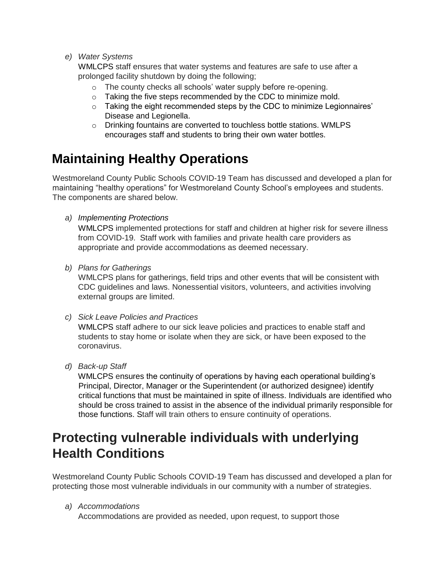*e) Water Systems* 

WMLCPS staff ensures that water systems and features are safe to use after a prolonged facility shutdown by doing the following;

- o The county checks all schools' water supply before re-opening.
- o Taking the five steps recommended by the CDC to minimize mold.
- $\circ$  Taking the eight recommended steps by the CDC to minimize Legionnaires' Disease and Legionella.
- o Drinking fountains are converted to touchless bottle stations. WMLPS encourages staff and students to bring their own water bottles.

# **Maintaining Healthy Operations**

Westmoreland County Public Schools COVID-19 Team has discussed and developed a plan for maintaining "healthy operations" for Westmoreland County School's employees and students. The components are shared below.

*a) Implementing Protections*

WMLCPS implemented protections for staff and children at higher risk for severe illness from COVID-19. Staff work with families and private health care providers as appropriate and provide accommodations as deemed necessary.

*b) Plans for Gatherings* 

WMLCPS plans for gatherings, field trips and other events that will be consistent with CDC guidelines and laws. Nonessential visitors, volunteers, and activities involving external groups are limited.

*c) Sick Leave Policies and Practices* 

WMLCPS staff adhere to our sick leave policies and practices to enable staff and students to stay home or isolate when they are sick, or have been exposed to the coronavirus.

*d) Back-up Staff* 

WMLCPS ensures the continuity of operations by having each operational building's Principal, Director, Manager or the Superintendent (or authorized designee) identify critical functions that must be maintained in spite of illness. Individuals are identified who should be cross trained to assist in the absence of the individual primarily responsible for those functions. Staff will train others to ensure continuity of operations.

## **Protecting vulnerable individuals with underlying Health Conditions**

Westmoreland County Public Schools COVID-19 Team has discussed and developed a plan for protecting those most vulnerable individuals in our community with a number of strategies.

### *a) Accommodations*

Accommodations are provided as needed, upon request, to support those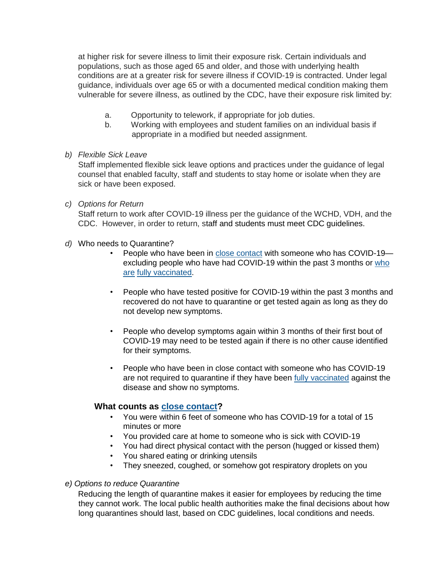at higher risk for severe illness to limit their exposure risk. Certain individuals and populations, such as those aged 65 and older, and those with underlying health conditions are at a greater risk for severe illness if COVID-19 is contracted. Under legal guidance, individuals over age 65 or with a documented medical condition making them vulnerable for severe illness, as outlined by the CDC, have their exposure risk limited by:

- a. Opportunity to telework, if appropriate for job duties.
- b. Working with employees and student families on an individual basis if appropriate in a modified but needed assignment.
- *b) Flexible Sick Leave*

Staff implemented flexible sick leave options and practices under the guidance of legal counsel that enabled faculty, staff and students to stay home or isolate when they are sick or have been exposed.

*c) Options for Return* 

Staff return to work after COVID-19 illness per the guidance of the WCHD, VDH, and the CDC. However, in order to return, staff and students must meet CDC guidelines.

- *d)* Who needs to Quarantine?
	- People who have been i[n](https://www.cdc.gov/coronavirus/2019-ncov/php/contact-tracing/contact-tracing-plan/appendix.html#contact) [close contact](https://www.cdc.gov/coronavirus/2019-ncov/php/contact-tracing/contact-tracing-plan/appendix.html#contact) with someone who has COVID-19 excluding people who have had COVID-19 within the past 3 months o[r](https://www.cdc.gov/coronavirus/2019-ncov/vaccines/fully-vaccinated.html) who [are](https://www.cdc.gov/coronavirus/2019-ncov/vaccines/fully-vaccinated.html) [fully vaccinated.](https://www.cdc.gov/coronavirus/2019-ncov/vaccines/fully-vaccinated.html)
	- People who have tested positive for COVID-19 within the past 3 months and recovered do not have to quarantine or get tested again as long as they do not develop new symptoms.
	- People who develop symptoms again within 3 months of their first bout of COVID-19 may need to be tested again if there is no other cause identified for their symptoms.
	- People who have been in close contact with someone who has COVID-19 are not required to quarantine if they have bee[n](https://www.cdc.gov/coronavirus/2019-ncov/vaccines/fully-vaccinated.html) [fully vaccinated](https://www.cdc.gov/coronavirus/2019-ncov/vaccines/fully-vaccinated.html) [a](https://www.cdc.gov/coronavirus/2019-ncov/vaccines/fully-vaccinated.html)gainst the disease and show no symptoms.

### **What counts a[s](https://www.cdc.gov/coronavirus/2019-ncov/php/contact-tracing/contact-tracing-plan/appendix.html#contact) [close contact?](https://www.cdc.gov/coronavirus/2019-ncov/php/contact-tracing/contact-tracing-plan/appendix.html#contact)**

- You were within 6 feet of someone who has COVID-19 for a total of 15 minutes or more
- You provided care at home to someone who is sick with COVID-19
- You had direct physical contact with the person (hugged or kissed them)
- You shared eating or drinking utensils
- They sneezed, coughed, or somehow got respiratory droplets on you

### *e) Options to reduce Quarantine*

Reducing the length of quarantine makes it easier for employees by reducing the time they cannot work. The local public health authorities make the final decisions about how long quarantines should last, based on CDC guidelines, local conditions and needs.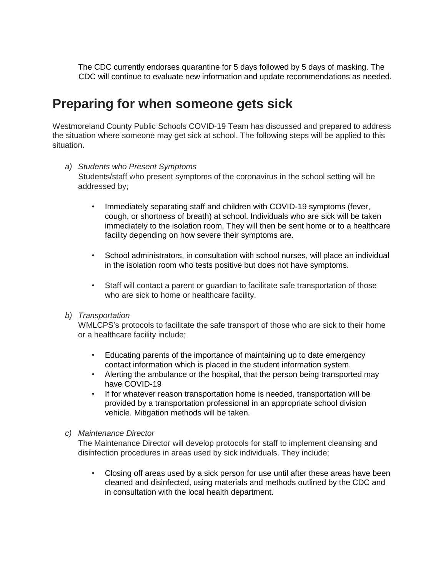The CDC currently endorses quarantine for 5 days followed by 5 days of masking. The CDC will continue to evaluate new information and update recommendations as needed.

### **Preparing for when someone gets sick**

Westmoreland County Public Schools COVID-19 Team has discussed and prepared to address the situation where someone may get sick at school. The following steps will be applied to this situation.

### *a) Students who Present Symptoms*

Students/staff who present symptoms of the coronavirus in the school setting will be addressed by;

- Immediately separating staff and children with COVID-19 symptoms (fever, cough, or shortness of breath) at school. Individuals who are sick will be taken immediately to the isolation room. They will then be sent home or to a healthcare facility depending on how severe their symptoms are.
- School administrators, in consultation with school nurses, will place an individual in the isolation room who tests positive but does not have symptoms.
- Staff will contact a parent or guardian to facilitate safe transportation of those who are sick to home or healthcare facility.

### *b) Transportation*

WMLCPS's protocols to facilitate the safe transport of those who are sick to their home or a healthcare facility include;

- Educating parents of the importance of maintaining up to date emergency contact information which is placed in the student information system.
- Alerting the ambulance or the hospital, that the person being transported may have COVID-19
- If for whatever reason transportation home is needed, transportation will be provided by a transportation professional in an appropriate school division vehicle. Mitigation methods will be taken.

### *c) Maintenance Director*

The Maintenance Director will develop protocols for staff to implement cleansing and disinfection procedures in areas used by sick individuals. They include;

• Closing off areas used by a sick person for use until after these areas have been cleaned and disinfected, using materials and methods outlined by the CDC and in consultation with the local health department.